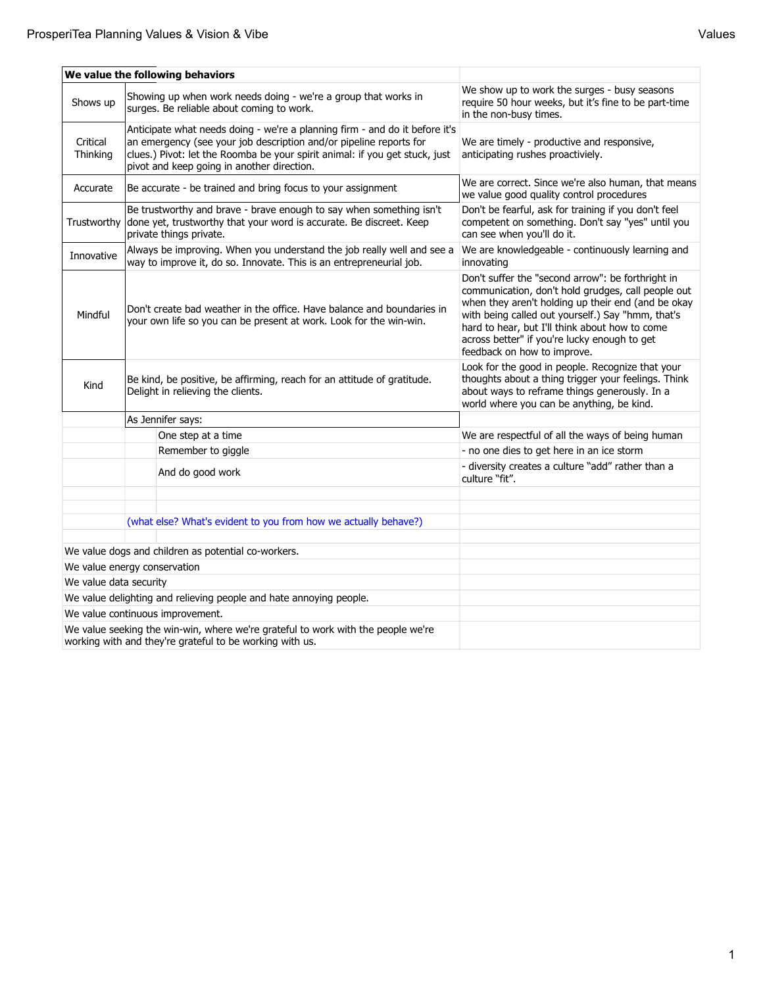| all | 16 |
|-----|----|
|-----|----|

|                                                                                                                                                         | We value the following behaviors                                                                                                                                                                                                                                               |                                                                                                                                                                                                                                                                                                                                                     |  |  |
|---------------------------------------------------------------------------------------------------------------------------------------------------------|--------------------------------------------------------------------------------------------------------------------------------------------------------------------------------------------------------------------------------------------------------------------------------|-----------------------------------------------------------------------------------------------------------------------------------------------------------------------------------------------------------------------------------------------------------------------------------------------------------------------------------------------------|--|--|
| Shows up                                                                                                                                                | Showing up when work needs doing - we're a group that works in<br>surges. Be reliable about coming to work.                                                                                                                                                                    | We show up to work the surges - busy seasons<br>require 50 hour weeks, but it's fine to be part-time<br>in the non-busy times.                                                                                                                                                                                                                      |  |  |
| Critical<br>Thinking                                                                                                                                    | Anticipate what needs doing - we're a planning firm - and do it before it's<br>an emergency (see your job description and/or pipeline reports for<br>clues.) Pivot: let the Roomba be your spirit animal: if you get stuck, just<br>pivot and keep going in another direction. | We are timely - productive and responsive,<br>anticipating rushes proactiviely.                                                                                                                                                                                                                                                                     |  |  |
| Accurate                                                                                                                                                | Be accurate - be trained and bring focus to your assignment                                                                                                                                                                                                                    | We are correct. Since we're also human, that means<br>we value good quality control procedures                                                                                                                                                                                                                                                      |  |  |
| Trustworthy                                                                                                                                             | Be trustworthy and brave - brave enough to say when something isn't<br>done yet, trustworthy that your word is accurate. Be discreet. Keep<br>private things private.                                                                                                          | Don't be fearful, ask for training if you don't feel<br>competent on something. Don't say "yes" until you<br>can see when you'll do it.                                                                                                                                                                                                             |  |  |
| Innovative                                                                                                                                              | Always be improving. When you understand the job really well and see a<br>way to improve it, do so. Innovate. This is an entrepreneurial job.                                                                                                                                  | We are knowledgeable - continuously learning and<br>innovating                                                                                                                                                                                                                                                                                      |  |  |
| Don't create bad weather in the office. Have balance and boundaries in<br>Mindful<br>your own life so you can be present at work. Look for the win-win. |                                                                                                                                                                                                                                                                                | Don't suffer the "second arrow": be forthright in<br>communication, don't hold grudges, call people out<br>when they aren't holding up their end (and be okay<br>with being called out yourself.) Say "hmm, that's<br>hard to hear, but I'll think about how to come<br>across better" if you're lucky enough to get<br>feedback on how to improve. |  |  |
| Kind                                                                                                                                                    | Be kind, be positive, be affirming, reach for an attitude of gratitude.<br>Delight in relieving the clients.                                                                                                                                                                   | Look for the good in people. Recognize that your<br>thoughts about a thing trigger your feelings. Think<br>about ways to reframe things generously. In a<br>world where you can be anything, be kind.                                                                                                                                               |  |  |
|                                                                                                                                                         | As Jennifer says:                                                                                                                                                                                                                                                              |                                                                                                                                                                                                                                                                                                                                                     |  |  |
|                                                                                                                                                         | One step at a time                                                                                                                                                                                                                                                             | We are respectful of all the ways of being human                                                                                                                                                                                                                                                                                                    |  |  |
|                                                                                                                                                         | Remember to giggle                                                                                                                                                                                                                                                             | - no one dies to get here in an ice storm                                                                                                                                                                                                                                                                                                           |  |  |
|                                                                                                                                                         | And do good work                                                                                                                                                                                                                                                               | - diversity creates a culture "add" rather than a<br>culture "fit".                                                                                                                                                                                                                                                                                 |  |  |
|                                                                                                                                                         | (what else? What's evident to you from how we actually behave?)                                                                                                                                                                                                                |                                                                                                                                                                                                                                                                                                                                                     |  |  |
|                                                                                                                                                         | We value dogs and children as potential co-workers.                                                                                                                                                                                                                            |                                                                                                                                                                                                                                                                                                                                                     |  |  |
| We value energy conservation                                                                                                                            |                                                                                                                                                                                                                                                                                |                                                                                                                                                                                                                                                                                                                                                     |  |  |
| We value data security                                                                                                                                  |                                                                                                                                                                                                                                                                                |                                                                                                                                                                                                                                                                                                                                                     |  |  |
| We value delighting and relieving people and hate annoying people.                                                                                      |                                                                                                                                                                                                                                                                                |                                                                                                                                                                                                                                                                                                                                                     |  |  |
| We value continuous improvement.                                                                                                                        |                                                                                                                                                                                                                                                                                |                                                                                                                                                                                                                                                                                                                                                     |  |  |
| We value seeking the win-win, where we're grateful to work with the people we're<br>working with and they're grateful to be working with us.            |                                                                                                                                                                                                                                                                                |                                                                                                                                                                                                                                                                                                                                                     |  |  |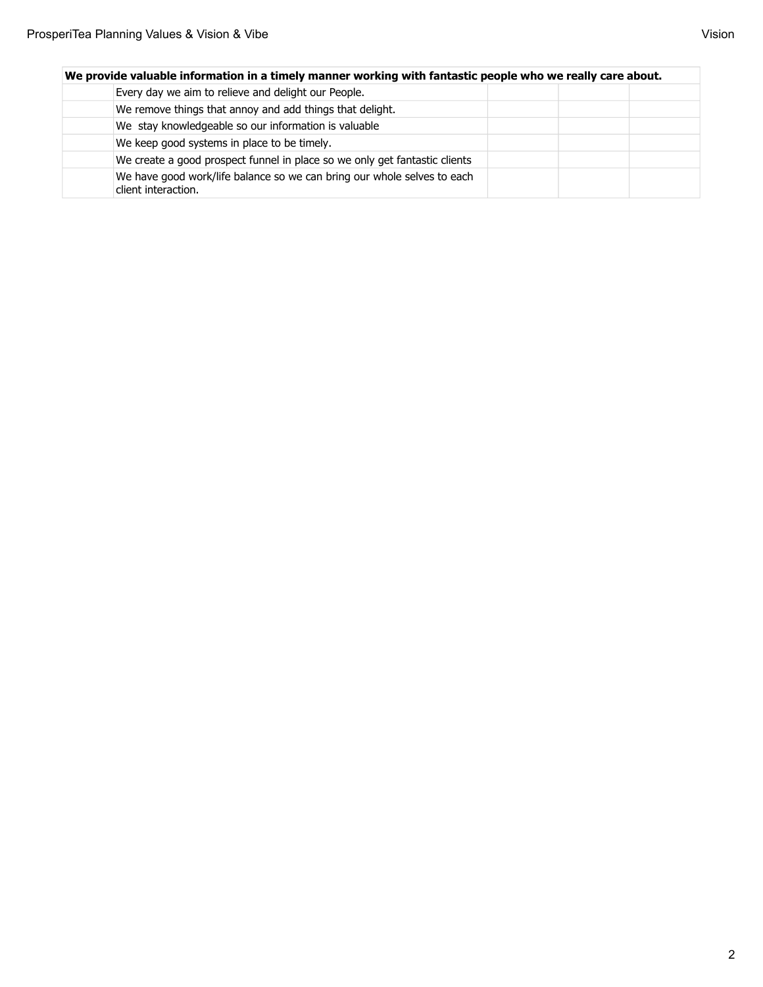| We provide valuable information in a timely manner working with fantastic people who we really care about. |  |  |  |  |
|------------------------------------------------------------------------------------------------------------|--|--|--|--|
| Every day we aim to relieve and delight our People.                                                        |  |  |  |  |
| We remove things that annoy and add things that delight.                                                   |  |  |  |  |
| We stay knowledgeable so our information is valuable                                                       |  |  |  |  |
| We keep good systems in place to be timely.                                                                |  |  |  |  |
| We create a good prospect funnel in place so we only get fantastic clients                                 |  |  |  |  |
| We have good work/life balance so we can bring our whole selves to each<br>client interaction.             |  |  |  |  |